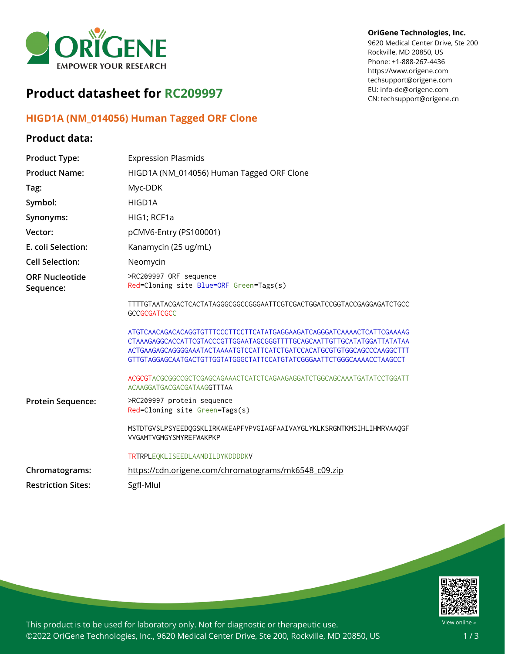

# **Product datasheet for RC209997**

### **HIGD1A (NM\_014056) Human Tagged ORF Clone**

### **Product data:**

#### **OriGene Technologies, Inc.**

9620 Medical Center Drive, Ste 200 Rockville, MD 20850, US Phone: +1-888-267-4436 https://www.origene.com techsupport@origene.com EU: info-de@origene.com CN: techsupport@origene.cn

| <b>Product Type:</b>               | <b>Expression Plasmids</b>                                                                                                                                                                                                                                                                                                                                                                                  |  |
|------------------------------------|-------------------------------------------------------------------------------------------------------------------------------------------------------------------------------------------------------------------------------------------------------------------------------------------------------------------------------------------------------------------------------------------------------------|--|
| <b>Product Name:</b>               | HIGD1A (NM_014056) Human Tagged ORF Clone                                                                                                                                                                                                                                                                                                                                                                   |  |
| Tag:                               | Myc-DDK                                                                                                                                                                                                                                                                                                                                                                                                     |  |
| Symbol:                            | HIGD1A                                                                                                                                                                                                                                                                                                                                                                                                      |  |
| Synonyms:                          | HIG1; RCF1a                                                                                                                                                                                                                                                                                                                                                                                                 |  |
| Vector:                            | pCMV6-Entry (PS100001)                                                                                                                                                                                                                                                                                                                                                                                      |  |
| E. coli Selection:                 | Kanamycin (25 ug/mL)                                                                                                                                                                                                                                                                                                                                                                                        |  |
| <b>Cell Selection:</b>             | Neomycin                                                                                                                                                                                                                                                                                                                                                                                                    |  |
| <b>ORF Nucleotide</b><br>Sequence: | >RC209997 ORF sequence<br>Red=Cloning site Blue=ORF Green=Tags(s)                                                                                                                                                                                                                                                                                                                                           |  |
|                                    | TTTTGTAATACGACTCACTATAGGGCGGCCGGGAATTCGTCGACTGGATCCGGTACCGAGGAGATCTGCC<br><b>GCCGCGATCGCC</b>                                                                                                                                                                                                                                                                                                               |  |
|                                    | ATGTCAACAGACAGAGGTGTTTCCCTTCCTTCATATGAGGAAGATCAGGGATCAAAACTCATTCGAAAAG<br>CTAAAGAGGCACCATTCGTACCCGTTGGAATAGCGGGTTTTGCAGCAATTGTTGCATATGGATTATATAA<br>ACTGAAGAGCAGGGGAAATACTAAAATGTCCATTCATCTGATCCACATGCGTGTGGCAGCCCAAGGCTTT<br>GTTGTAGGAGCAATGACTGTTGGTATGGGCTATTCCATGTATCGGGAATTCTGGGCAAAACCTAAGCCT<br>ACGCGTACGCGGCCGCTCGAGCAGAAACTCATCTCAGAAGAGGATCTGGCAGCAAATGATATCCTGGATT<br>ACAAGGATGACGACGATAAGGTTTAA |  |
| <b>Protein Sequence:</b>           | >RC209997 protein sequence<br>Red=Cloning site Green=Tags(s)                                                                                                                                                                                                                                                                                                                                                |  |
|                                    | MSTDTGVSLPSYEEDQGSKLIRKAKEAPFVPVGIAGFAAIVAYGLYKLKSRGNTKMSIHLIHMRVAAQGF<br>VVGAMTVGMGYSMYREFWAKPKP                                                                                                                                                                                                                                                                                                           |  |
|                                    | TRTRPLEQKLISEEDLAANDILDYKDDDDKV                                                                                                                                                                                                                                                                                                                                                                             |  |
| Chromatograms:                     | https://cdn.origene.com/chromatograms/mk6548_c09.zip                                                                                                                                                                                                                                                                                                                                                        |  |
| <b>Restriction Sites:</b>          | SgfI-Mlul                                                                                                                                                                                                                                                                                                                                                                                                   |  |



This product is to be used for laboratory only. Not for diagnostic or therapeutic use. ©2022 OriGene Technologies, Inc., 9620 Medical Center Drive, Ste 200, Rockville, MD 20850, US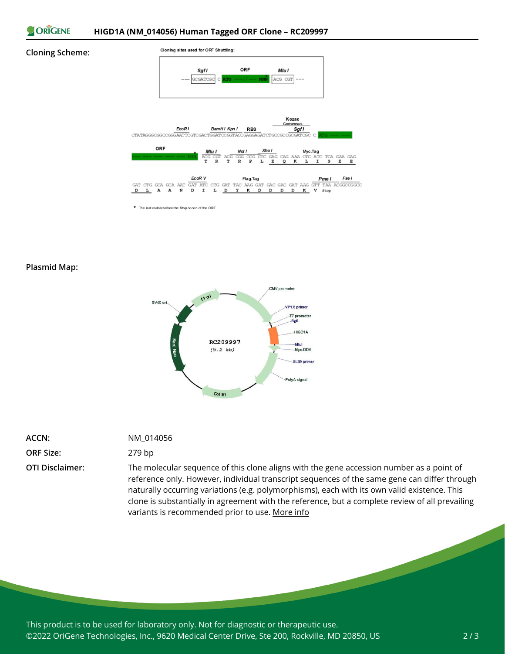

#### **Cloning Scheme:**



\* The last codon before the Stop codon of the ORF

#### **Plasmid Map:**



| <b>ACCN:</b>           |
|------------------------|
| <b>ORF Size:</b>       |
| <b>OTI Disclaimer:</b> |

### **ACCN:** NM\_014056

#### **ORF Size:** 279 bp

The molecular sequence of this clone aligns with the gene accession number as a point of reference only. However, individual transcript sequences of the same gene can differ through naturally occurring variations (e.g. polymorphisms), each with its own valid existence. This clone is substantially in agreement with the reference, but a complete review of all prevailing variants is recommended prior to use. [More](https://www.ncbi.nlm.nih.gov/books/NBK174586/) info

This product is to be used for laboratory only. Not for diagnostic or therapeutic use. ©2022 OriGene Technologies, Inc., 9620 Medical Center Drive, Ste 200, Rockville, MD 20850, US